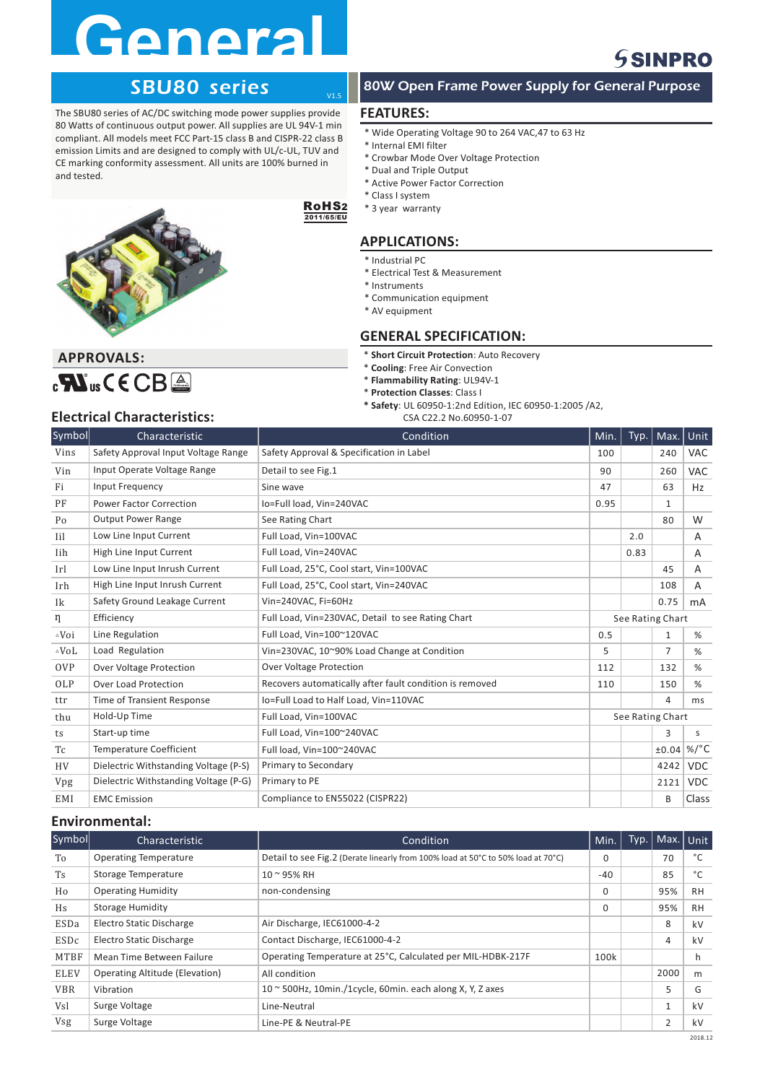## **General**

### **SSINPRO**

#### SBU80 series

The SBU80 series of AC/DC switching mode power supplies provide 80 Watts of continuous output power. All supplies are UL 94V-1 min compliant. All models meet FCC Part-15 class B and CISPR-22 class B emission Limits and are designed to comply with UL/c-UL, TUV and CE marking conformity assessment. All units are 100% burned in and tested.



#### RoHS 2 2011/65/EU

 $\frac{1}{11}$ 

#### **APPLICATIONS:**

\* Industrial PC

\* Class I system \* 3 year warranty

- \* Electrical Test & Measurement
- \* Instruments

**FEATURES:**

\* Internal EMI filter

\* Dual and Triple Output \* Active Power Factor Correction

- \* Communication equipment
- \* AV equipment

#### **GENERAL SPECIFICATION:**

 $*$  **Short Circuit Protection**: Auto Recovery

\* Wide Operating Voltage 90 to 264 VAC,47 to 63 Hz

80W Open Frame Power Supply for General Purpose

\* Crowbar Mode Over Voltage Protection

- $*$  **Cooling**: Free Air Convection
- $*$  **Flammability Rating**: UL94V-1
- $*$  **Protection Classes**: Class I
- **\* Safety**: UL 60950-1:2nd Edition, IEC 60950-1:2005 /A2,
	- CSA C22.2 No.60950-1-07

#### **Electrical Characteristics:**

 $C^{\text{EM}}$ us C E C B  $\triangle$ 

**APPROVALS:**

| Symbol           | Characteristic                        | Condition                                               | Min. | Typ.             | Max.             | Unit       |
|------------------|---------------------------------------|---------------------------------------------------------|------|------------------|------------------|------------|
| Vins             | Safety Approval Input Voltage Range   | Safety Approval & Specification in Label                | 100  |                  | 240              | <b>VAC</b> |
| Vin              | Input Operate Voltage Range           | Detail to see Fig.1                                     | 90   |                  | 260              | <b>VAC</b> |
| Fi               | Input Frequency                       | Sine wave                                               | 47   |                  | 63               | Hz         |
| PF               | <b>Power Factor Correction</b>        | Io=Full load. Vin=240VAC                                | 0.95 |                  | $\mathbf{1}$     |            |
| Po               | <b>Output Power Range</b>             | See Rating Chart                                        |      |                  | 80               | W          |
| Iil              | Low Line Input Current                | Full Load, Vin=100VAC                                   |      | 2.0              |                  | A          |
| Iih              | High Line Input Current               | Full Load. Vin=240VAC                                   |      | 0.83             |                  | A          |
| Irl              | Low Line Input Inrush Current         | Full Load, 25°C, Cool start, Vin=100VAC                 |      |                  | 45               | А          |
| Irh              | High Line Input Inrush Current        | Full Load, 25°C, Cool start, Vin=240VAC                 |      |                  | 108              | A          |
| Ik               | Safety Ground Leakage Current         | Vin=240VAC, Fi=60Hz                                     |      |                  | 0.75             | mA         |
| η                | Efficiency                            | Full Load, Vin=230VAC, Detail to see Rating Chart       |      |                  | See Rating Chart |            |
| $\triangle V$ oi | Line Regulation                       | Full Load, Vin=100~120VAC                               | 0.5  |                  | 1                | %          |
| $\triangle$ VoL  | Load Regulation                       | Vin=230VAC, 10~90% Load Change at Condition             | 5    |                  | $\overline{7}$   | %          |
| <b>OVP</b>       | Over Voltage Protection               | <b>Over Voltage Protection</b>                          | 112  |                  | 132              | %          |
| OLP              | <b>Over Load Protection</b>           | Recovers automatically after fault condition is removed | 110  |                  | 150              | %          |
| ttr              | <b>Time of Transient Response</b>     | Io=Full Load to Half Load, Vin=110VAC                   |      |                  | 4                | ms         |
| thu              | Hold-Up Time                          | Full Load, Vin=100VAC                                   |      | See Rating Chart |                  |            |
| ts               | Start-up time                         | Full Load, Vin=100~240VAC                               |      |                  | 3                | S          |
| Tc               | <b>Temperature Coefficient</b>        | Full load. Vin=100~240VAC                               |      |                  | ±0.04            | $\%$ /°C   |
| <b>HV</b>        | Dielectric Withstanding Voltage (P-S) | Primary to Secondary                                    |      |                  | 4242             | <b>VDC</b> |
| Vpg              | Dielectric Withstanding Voltage (P-G) | Primary to PE                                           |      |                  | 2121             | <b>VDC</b> |
| EMI              | <b>EMC</b> Emission                   | Compliance to EN55022 (CISPR22)                         |      |                  | B                | Class      |

#### **Environmental:**

| Symbol      | Characteristic                        | Condition                                                                        | Min.     | Typ. | Max. Unit      |           |
|-------------|---------------------------------------|----------------------------------------------------------------------------------|----------|------|----------------|-----------|
| To          | <b>Operating Temperature</b>          | Detail to see Fig.2 (Derate linearly from 100% load at 50°C to 50% load at 70°C) | $\Omega$ |      | 70             | °C        |
| <b>Ts</b>   | <b>Storage Temperature</b>            | 10 ~ 95% RH                                                                      | $-40$    |      | 85             | °C        |
| Ho          | <b>Operating Humidity</b>             | non-condensing                                                                   | $\Omega$ |      | 95%            | <b>RH</b> |
| Hs          | <b>Storage Humidity</b>               |                                                                                  | $\Omega$ |      | 95%            | <b>RH</b> |
| ESDa        | Electro Static Discharge              | Air Discharge, IEC61000-4-2                                                      |          |      | 8              | kV        |
| ESDc        | <b>Electro Static Discharge</b>       | Contact Discharge, IEC61000-4-2                                                  |          |      | 4              | kV        |
| MTBF        | Mean Time Between Failure             | Operating Temperature at 25°C, Calculated per MIL-HDBK-217F                      | 100k     |      |                | h         |
| <b>ELEV</b> | <b>Operating Altitude (Elevation)</b> | All condition                                                                    |          |      | 2000           | m         |
| <b>VBR</b>  | Vibration                             | $10 \approx 500$ Hz, 10min./1cycle, 60min. each along X, Y, Z axes               |          |      | 5              | G         |
| Vsl         | Surge Voltage                         | Line-Neutral                                                                     |          |      | $\mathbf{1}$   | kV        |
| Vsg         | Surge Voltage                         | Line-PE & Neutral-PE                                                             |          |      | $\overline{2}$ | kV        |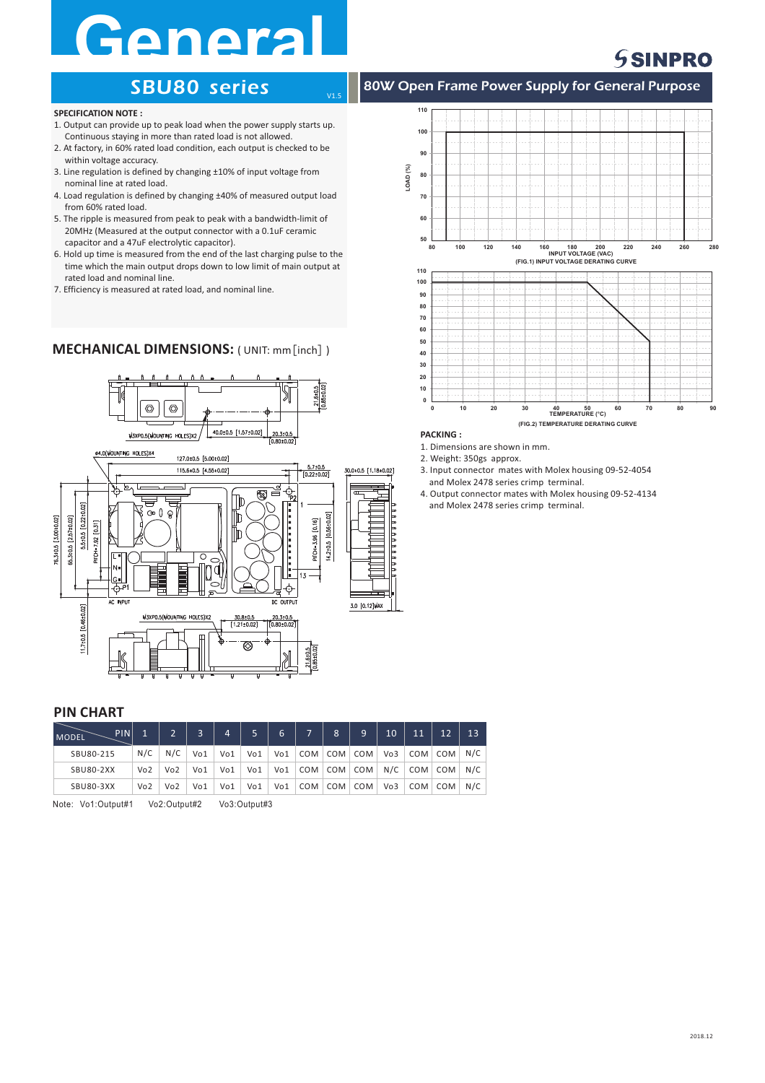## **Genera**<br>SBU80 series

### **SSINPRO**

#### **SPECIFICATION NOTE :**

- 1. Output can provide up to peak load when the power supply starts up. Continuous staying in more than rated load is not allowed.
- 2. At factory, in 60% rated load condition, each output is checked to be within voltage accuracy.
- 3. Line regulation is defined by changing ±10% of input voltage from nominal line at rated load.
- 4. Load regulation is defined by changing ±40% of measured output load from 60% rated load.
- 5. The ripple is measured from peak to peak with a bandwidth-limit of 20MHz (Measured at the output connector with a 0.1uF ceramic capacitor and a 47uF electrolytic capacitor).
- 6. Hold up time is measured from the end of the last charging pulse to the time which the main output drops down to low limit of main output at rated load and nominal line.
- 7. Efficiency is measured at rated load, and nominal line.

#### **MECHANICAL DIMENSIONS:** ( UNIT: mm [inch] )







80W Open Frame Power Supply for General Purpose

#### **PACKING :**

**110**

V1.5

1. Dimensions are shown in mm.

- 2. Weight: 350gs approx.
- 3. Input connector mates with Molex housing 09-52-4054 and Molex 2478 series crimp terminal.
- 4. Output connector mates with Molex housing 09-52-4134 and Molex 2478 series crimp terminal.

#### **PIN CHART**

| PIN<br><b>MODEL</b> |     | $\mathcal{D}$   | $\overline{3}$ | 4   |     | 6   | 'ד | 8         | 9               | 10  | <b>M1</b>   |             | 13  |
|---------------------|-----|-----------------|----------------|-----|-----|-----|----|-----------|-----------------|-----|-------------|-------------|-----|
| SBU80-215           | N/C | N/C             | Vo1            | Vo1 | Vo1 | Vo1 |    | COM   COM | COM             | Vo3 |             | COM COM N/C |     |
| <b>SBU80-2XX</b>    | Vo2 | Vo <sub>2</sub> | Vo1            | Vo1 | Vo1 | Vo1 |    |           | COM   COM   COM | N/C | COM COM N/C |             |     |
| <b>SBU80-3XX</b>    | Vo2 | Vo <sub>2</sub> | Vo1            | Vo1 | Vo1 | Vo1 |    | COM   COM | COM             | Vo3 |             | COM COM     | N/C |

Note: Vo1:Output#1 Vo2:Output#2 Vo3:Output#3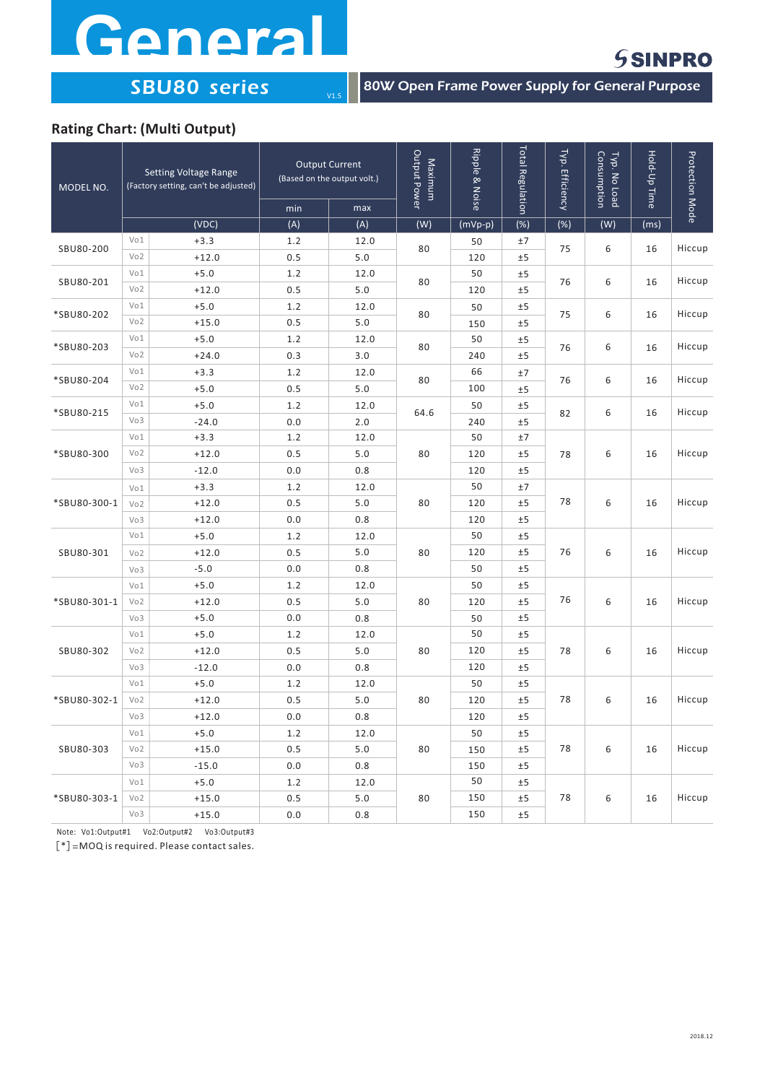# General

### **SSINPRO**

 $\sqrt{\frac{1}{180W}}$  Open Frame Power Supply for General Purpose

#### **Rating Chart: (Multi Output)**

| MODEL NO.    |                 | <b>Setting Voltage Range</b><br>(Factory setting, can't be adjusted) | <b>Output Current</b><br>(Based on the output volt.) |       | Output Power<br>Maximum | Ripple & Noise | <b>Total Regulation</b> | Typ. Efficiency | Consumption<br>Typ. No Load | Hold-Up Time | <b>Protection Mode</b> |
|--------------|-----------------|----------------------------------------------------------------------|------------------------------------------------------|-------|-------------------------|----------------|-------------------------|-----------------|-----------------------------|--------------|------------------------|
|              |                 |                                                                      | min                                                  | max   |                         |                |                         |                 |                             |              |                        |
|              |                 | (VDC)                                                                | (A)                                                  | (A)   | (W)                     | $(mVp-p)$      | (%)                     | $(\%)$          | (W)                         | (ms)         |                        |
| SBU80-200    | Vo1             | $+3.3$                                                               | 1.2                                                  | 12.0  | 80                      | 50             | ±7                      | 75              | 6                           | 16           | Hiccup                 |
|              | Vo <sub>2</sub> | $+12.0$                                                              | 0.5                                                  | 5.0   |                         | 120            | ±5                      |                 |                             |              |                        |
| SBU80-201    | Vo1             | $+5.0$                                                               | 1.2                                                  | 12.0  | 80                      | 50             | ±5                      |                 | 6                           | 16           | Hiccup                 |
|              | Vo <sub>2</sub> | $+12.0$                                                              | 0.5                                                  | 5.0   |                         | 120            | ±5                      | 76              |                             |              |                        |
| *SBU80-202   | Vo1             | $+5.0$                                                               | 1.2                                                  | 12.0  |                         | 50             | ±5                      | 75              | 6                           | 16           | Hiccup                 |
|              | Vo <sub>2</sub> | $+15.0$                                                              | 0.5                                                  | $5.0$ | 80                      | 150            | ±5                      |                 |                             |              |                        |
|              | Vo1             | $+5.0$                                                               | 1.2                                                  | 12.0  |                         | 50             | ±5                      |                 | 6                           | 16           | Hiccup                 |
| *SBU80-203   | Vo <sub>2</sub> | $+24.0$                                                              | 0.3                                                  | 3.0   | 80                      | 240            | ±5                      | 76              |                             |              |                        |
| *SBU80-204   | Vo1             | $+3.3$                                                               | 1.2                                                  | 12.0  |                         | 66             | ±7                      | 76              | 6                           |              | Hiccup                 |
|              | Vo <sub>2</sub> | $+5.0$                                                               | 0.5                                                  | $5.0$ | 80                      | 100            | ±5                      |                 |                             | 16           |                        |
| *SBU80-215   | Vo1             | $+5.0$                                                               | 1.2                                                  | 12.0  |                         | 50             | ±5                      | 82              | 6                           | 16           | Hiccup                 |
|              | Vo3             | $-24.0$                                                              | 0.0                                                  | 2.0   | 64.6                    | 240            | ±5                      |                 |                             |              |                        |
|              | Vo1             | $+3.3$                                                               | 1.2                                                  | 12.0  |                         | 50             | ±7                      | 78              |                             |              |                        |
| *SBU80-300   | Vo <sub>2</sub> | $+12.0$                                                              | 0.5                                                  | 5.0   | 80                      | 120            | ±5                      |                 | 6                           | 16           | Hiccup                 |
|              | Vo3             | $-12.0$                                                              | 0.0                                                  | 0.8   |                         | 120            | ±5                      |                 |                             |              |                        |
|              | Vo1             | $+3.3$                                                               | 1.2                                                  | 12.0  | 80                      | 50             | ±7                      | 78              |                             |              |                        |
| *SBU80-300-1 | Vo <sub>2</sub> | $+12.0$                                                              | 0.5                                                  | 5.0   |                         | 120            | ±5                      |                 | 6                           | 16           | Hiccup                 |
|              | Vo3             | $+12.0$                                                              | 0.0                                                  | 0.8   |                         | 120            | ±5                      |                 |                             |              |                        |
|              | Vo1             | $+5.0$                                                               | 1.2                                                  | 12.0  | 80                      | 50             | ±5                      | 76              | 6                           |              |                        |
| SBU80-301    | Vo <sub>2</sub> | $+12.0$                                                              | 0.5                                                  | 5.0   |                         | 120            | ±5                      |                 |                             | 16           | Hiccup                 |
|              | Vo3             | $-5.0$                                                               | 0.0                                                  | 0.8   |                         | 50             | ±5                      |                 |                             |              |                        |
|              | Vo1             | $+5.0$                                                               | 1.2                                                  | 12.0  |                         | 50             | ±5                      |                 | 6                           | 16           |                        |
| *SBU80-301-1 | Vo <sub>2</sub> | $+12.0$                                                              | 0.5                                                  | 5.0   | 80                      | 120            | ±5                      | 76              |                             |              | Hiccup                 |
|              | Vo <sub>3</sub> | $+5.0$                                                               | 0.0                                                  | 0.8   |                         | 50             | ±5                      |                 |                             |              |                        |
|              | Vo1             | $+5.0$                                                               | 1.2                                                  | 12.0  |                         | 50             | ±5                      |                 |                             |              |                        |
| SBU80-302    | Vo <sub>2</sub> | $+12.0$                                                              | 0.5                                                  | 5.0   | 80                      | 120            | ±5                      | 78              | 6                           | 16           | Hiccup                 |
|              | Vo3             | $-12.0$                                                              | 0.0                                                  | 0.8   |                         | 120            | ±5                      |                 |                             |              |                        |
|              | Vo1             | $+5.0$                                                               | 1.2                                                  | 12.0  |                         | 50             | ±5                      |                 |                             |              |                        |
| *SBU80-302-1 | Vo <sub>2</sub> | $+12.0$                                                              | 0.5                                                  | 5.0   | 80                      | 120            | ±5                      | 78              | 6                           | 16           | Hiccup                 |
|              | Vo3             | $+12.0$                                                              | 0.0                                                  | 0.8   |                         | 120            | ±5                      |                 |                             |              |                        |
|              | Vo1             | $+5.0$                                                               | 1.2                                                  | 12.0  |                         | 50             | ±5                      |                 |                             |              |                        |
| SBU80-303    | Vo <sub>2</sub> | $+15.0$                                                              | 0.5                                                  | 5.0   | 80                      | 150            | ±5                      | 78              | 6                           | 16           | Hiccup                 |
|              | Vo3             | $-15.0$                                                              | 0.0                                                  | 0.8   |                         | 150            | ±5                      |                 |                             |              |                        |
|              | Vo1             | $+5.0$                                                               | 1.2                                                  | 12.0  |                         | 50             | ±5                      |                 |                             |              |                        |
| *SBU80-303-1 | Vo <sub>2</sub> | $+15.0$                                                              | 0.5                                                  | 5.0   | 80                      | 150            | ±5                      | 78              | 6                           | 16           | Hiccup                 |
|              | Vo3             | $+15.0$                                                              | 0.0                                                  | 0.8   |                         | 150            | ±5                      |                 |                             |              |                        |

 $V1.5$ 

Note: Vo1:Output#1 Vo2:Output#2 Vo3:Output#3

 $[ * ] = MOQ$  is required. Please contact sales.